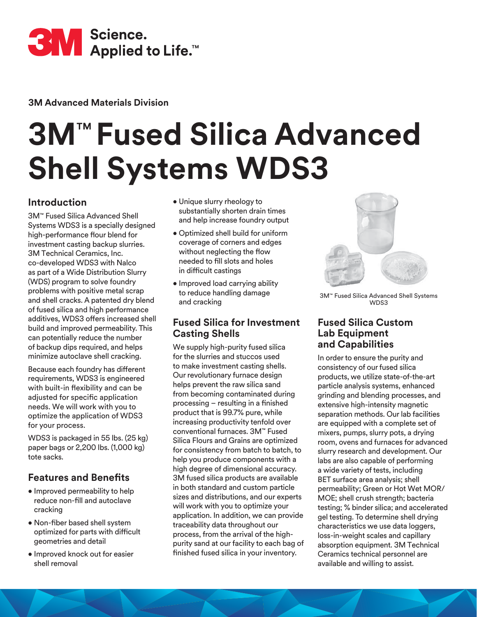

**3M Advanced Materials Division**

# **3M**™ **Fused Silica Advanced Shell Systems WDS3**

## **Introduction**

3M™ Fused Silica Advanced Shell Systems WDS3 is a specially designed high-performance flour blend for investment casting backup slurries. 3M Technical Ceramics, Inc. co-developed WDS3 with Nalco as part of a Wide Distribution Slurry (WDS) program to solve foundry problems with positive metal scrap and shell cracks. A patented dry blend of fused silica and high performance additives, WDS3 offers increased shell build and improved permeability. This can potentially reduce the number of backup dips required, and helps minimize autoclave shell cracking.

Because each foundry has different requirements, WDS3 is engineered with built-in flexibility and can be adjusted for specific application needs. We will work with you to optimize the application of WDS3 for your process.

WDS3 is packaged in 55 lbs. (25 kg) paper bags or 2,200 lbs. (1,000 kg) tote sacks.

# **Features and Benefits**

- Improved permeability to help reduce non-fill and autoclave cracking
- Non-fiber based shell system optimized for parts with difficult geometries and detail
- Improved knock out for easier shell removal
- Unique slurry rheology to substantially shorten drain times and help increase foundry output
- Optimized shell build for uniform coverage of corners and edges without neglecting the flow needed to fill slots and holes in difficult castings
- Improved load carrying ability to reduce handling damage and cracking

### **Fused Silica for Investment Casting Shells**

We supply high-purity fused silica for the slurries and stuccos used to make investment casting shells. Our revolutionary furnace design helps prevent the raw silica sand from becoming contaminated during processing – resulting in a finished product that is 99.7% pure, while increasing productivity tenfold over conventional furnaces. 3M™ Fused Silica Flours and Grains are optimized for consistency from batch to batch, to help you produce components with a high degree of dimensional accuracy. 3M fused silica products are available in both standard and custom particle sizes and distributions, and our experts will work with you to optimize your application. In addition, we can provide traceability data throughout our process, from the arrival of the highpurity sand at our facility to each bag of finished fused silica in your inventory.



3M™ Fused Silica Advanced Shell Systems WDS3

#### **Fused Silica Custom Lab Equipment and Capabilities**

In order to ensure the purity and consistency of our fused silica products, we utilize state-of-the-art particle analysis systems, enhanced grinding and blending processes, and extensive high-intensity magnetic separation methods. Our lab facilities are equipped with a complete set of mixers, pumps, slurry pots, a drying room, ovens and furnaces for advanced slurry research and development. Our labs are also capable of performing a wide variety of tests, including BET surface area analysis; shell permeability; Green or Hot Wet MOR/ MOE; shell crush strength; bacteria testing; % binder silica; and accelerated gel testing. To determine shell drying characteristics we use data loggers, loss-in-weight scales and capillary absorption equipment. 3M Technical Ceramics technical personnel are available and willing to assist.